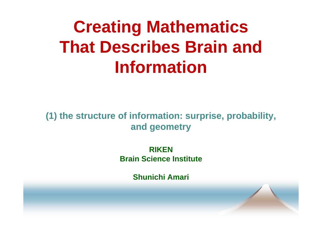## **Creating Mathematics That Describes Brain and I f ti nformation**

(1) the structure of information: surprise, probability, **and geometry**

> **RIKENBrain Science Institute**

> > **Shunichi Amari**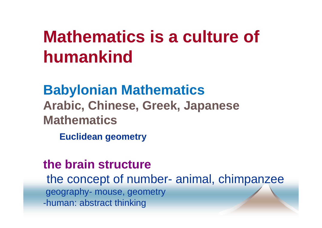#### **Mathematics is a culture of** \_\_\_\_\_\_\_\_\_\_\_\_\_\_ **humankind**

**Babylonian Mathematics Arabic, Chinese, Greek, Japanese Mathematics**

**Euclidean geometry geometry**

#### **the brain structure**

the concept of number- animal, chimpanzee geography -- mouse, geometry -human: abstract thinking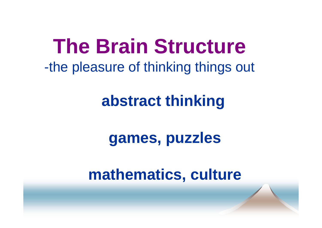## **The Brain Structure** -the pleasure of thinking things out

## abstract thinking

### games, puzzles

### mathematics, culture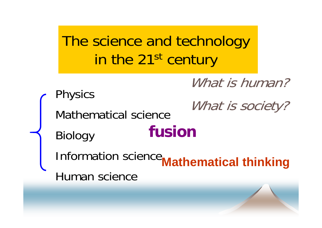The science and technology in the 21<sup>st</sup> century

What is human?

Physics<br>Mathematical science<br>Mathematical science

Biology **fusion**

**Information science Mathematical thinking** Human science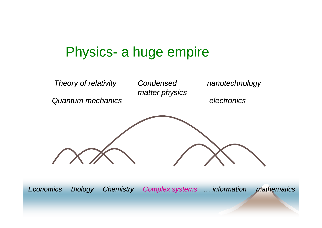#### Physics- a huge empire



*Economics*

*Biology Chemistry Complex systems … information mathematics*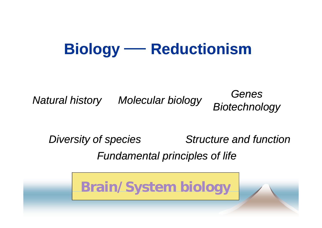### **Biology** — Reductionism

*Natural history Molecular biology Genes Biotechnology*

*Diversity of species Structure and function Fundamental principles of life* \_\_\_\_\_\_

**Brain/System biology**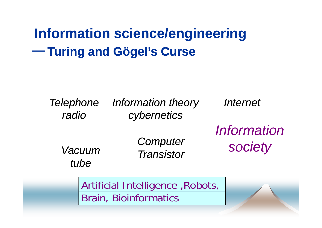**Information science/engineering Turing and Gögel's Curse**

*Telephone Information theory radiocybernetics Internet Computer Information Vacuum tubeTransistor society*

> Artificial Intelligence ,Robots, Brain, Bioinformatics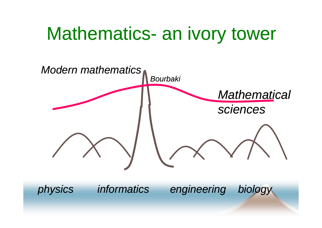#### Mathematics - an ivory tower

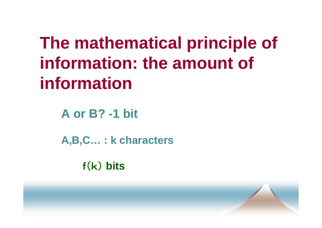# **The mathematical principle of information: the amount of information**

**A or B? -1 bit**

**A B C : k characters A,B,C…** 

f(k) **bits**

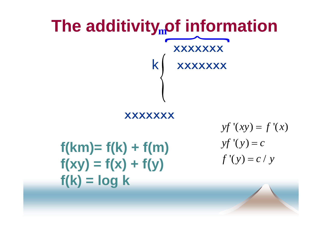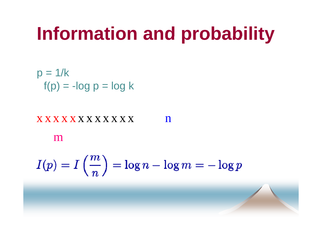# **Information and probability and**

 $p = 1/k$ f(p) <sup>=</sup> -log p == log k

#### $\boldsymbol{X} \boldsymbol{X} \boldsymbol{X} \boldsymbol{X} \boldsymbol{X} \boldsymbol{X} \boldsymbol{X} \boldsymbol{X} \boldsymbol{X} \boldsymbol{X} \boldsymbol{X} \boldsymbol{X}$ n

m

$$
I(p) = I\left(\frac{m}{n}\right) = \log n - \log m = -\log p
$$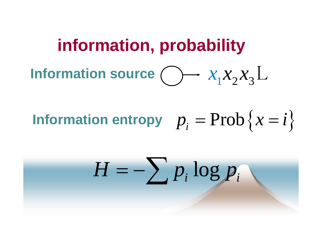### **information, probability** Information source  $\bigcirc$   $\longrightarrow$   $\mathcal{X}_1\mathcal{X}_2\mathcal{X}_3$  $x_1 x_2 x_3 L$

#### Information entropy  $\bm{p}_i$  $=$  Prob  $\left\{\begin{matrix} 0 \\ 0 \end{matrix}\right\}$  $\chi =$  $= i$ }

#### *H*  $\sum p_i \log p_i$ =− $\sum_{i} p_i \log p$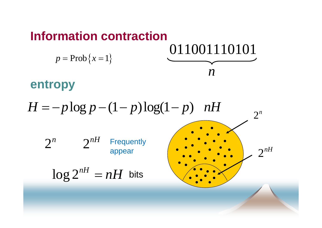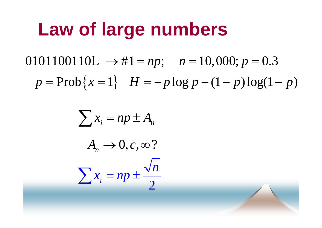## **Law of large numbers**

 $0101100110L \rightarrow #1 = np; \quad n = 10,000; p = 0.3$  $p = \text{Prob}\{x = 1\}$   $H = -p \log p - (1 - p) \log(1 - p)$  $=$  Prob $\{x=1\}$   $H = -p \log p - (1-p) \log(1-p)$ 

$$
\sum x_i = np \pm A_n
$$
  

$$
A_n \rightarrow 0, c, \infty ?
$$
  

$$
\sum x_i = np \pm \frac{\sqrt{n}}{2}
$$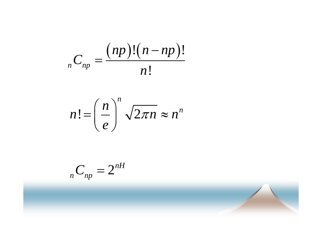$$
{}_{n}C_{np}=\frac{(np)!(n-np)!}{n!}
$$

$$
n!=\left(\frac{n}{e}\right)^n\sqrt{2\pi n}\approx n^n
$$

$$
{}_{n}C_{np}=2^{nH}
$$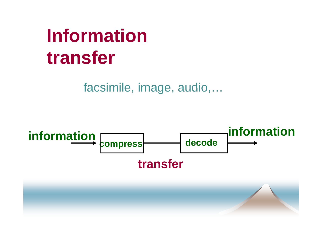# **Information transfer**

facsimile, image, audio,...

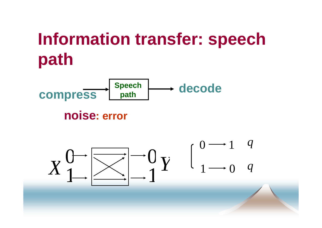# **Information transfer: speech path**



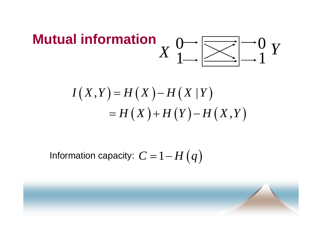#### **Mutual information**  $\left|\sum_{i=1}^{n} \right|^{1-\alpha} Y$  $\boldsymbol{X}$

$$
I(X,Y) = H(X) - H(X|Y)
$$
  
= H(X) + H(Y) - H(X,Y)

Information capacity:  $C = 1 - H(q)$ 

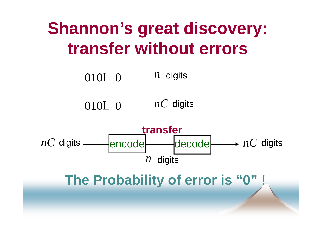## **Shannon's great discovery: transfer without errors**

010L 0 *<sup>n</sup>* digits

010L 0 *nC* digits



**The Probability of error is "0" !**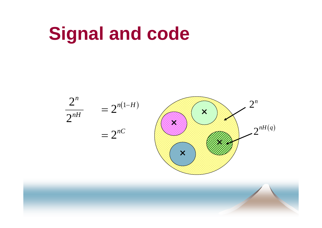# **Signal and code**

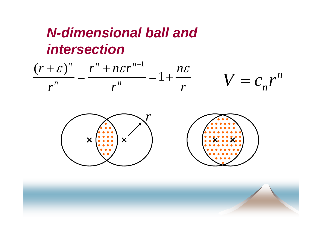#### **N-dimensional ball and** *intersection*

$$
\frac{(r+\varepsilon)^n}{r^n} = \frac{r^n + n\varepsilon r^{n-1}}{r^n} = 1 + \frac{n\varepsilon}{r} \qquad V = c_n r^n
$$



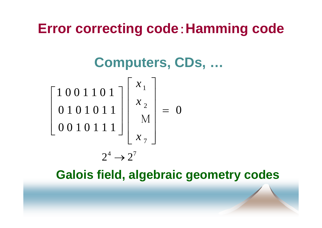#### **Error correcting code**:**Hamming code**

**Computers CDs Computers, CDs, …**



**Galois field, algebraic geometry codes**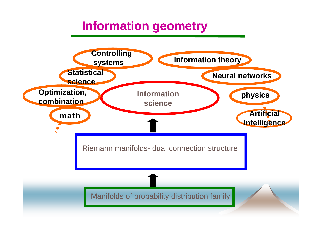#### **Information geometry**

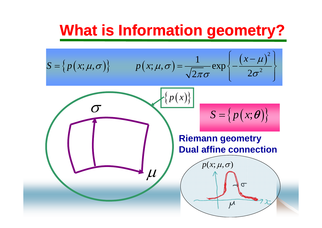## **What is Information geometr y ? g**

 $\{p(x)\}$ 

$$
S = \left\{ p(x; \mu, \sigma) \right\} \qquad p(x; \mu, \sigma) = \frac{1}{\sqrt{2\pi}\sigma} \exp \left\{ -\frac{(x-\mu)^2}{2\sigma^2} \right\}
$$

 $\overline{\mu}$ 

σ

$$
S = \{p(x; \theta)\}
$$

#### **Riemann geometry Dual affine connection**

 $\mu$ 

 $p(x; \mu, \sigma)$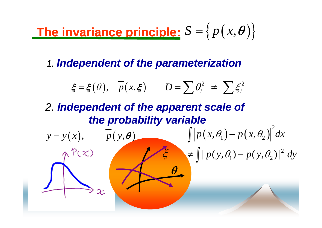#### **The invarianceariance principle:**  $S = \big\{ p\big( \overline{x}, \overline{\theta} \big) \big\}$

*1. Independent of the parameterization of the*

$$
\xi = \xi(\theta), \quad \overline{p}(x,\xi) \qquad D = \sum \theta_i^2 \neq \sum \xi_i^2
$$

#### *2. Independent of the apparent scale of the probability variable*

$$
y = y(x), \quad \overline{p}(y, \theta)
$$
\n
$$
\int |p(x, \theta_1) - p(x, \theta_2)|^2 dx
$$
\n
$$
\Rightarrow \int |\overline{p}(y, \theta_1) - \overline{p}(y, \theta_2)|^2 dy
$$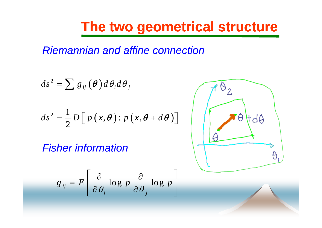#### **The two geometrical structure**

*Riemannian and affine connection*

$$
ds^{2} = \sum g_{ij}(\boldsymbol{\theta}) d\theta_{i} d\theta_{j}
$$
  

$$
ds^{2} = \frac{1}{2} D \Big[ p(x, \boldsymbol{\theta}) : p(x, \boldsymbol{\theta} + d\boldsymbol{\theta}) \Big]
$$

*Fisher information*

$$
g_{ij} = E\left[\frac{\partial}{\partial \theta_i} \log p \frac{\partial}{\partial \theta_j} \log p\right]
$$

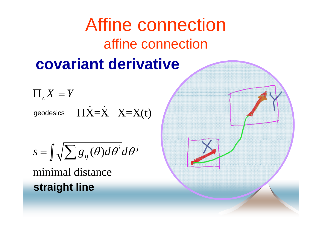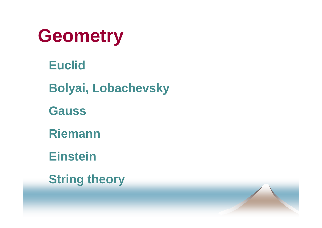

**E lid uc Bolyai Lobachevsky Bolyai, Gauss RiemannEinsteinString theory**

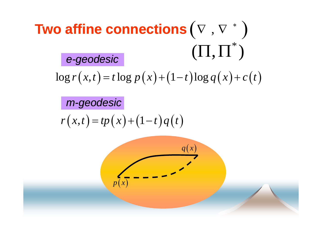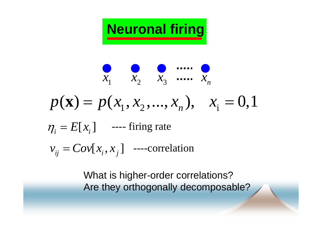

$$
\begin{array}{c}\n\mathbf{Q} & \mathbf{Q} & \dots & \mathbf{Q} \\
x_1 & x_2 & x_3 & \dots & x_n \\
p(\mathbf{x}) = p(x_1, x_2, \dots, x_n), & x_i = 0, 1 \\
\eta_i = E[x_i] & \dots & \text{firing rate} \\
v_{ij} = Cov[x_i, x_j] & \dots & \text{correlation}\n\end{array}
$$

What is higher-order correlations? Are they orthogonally decomposable?